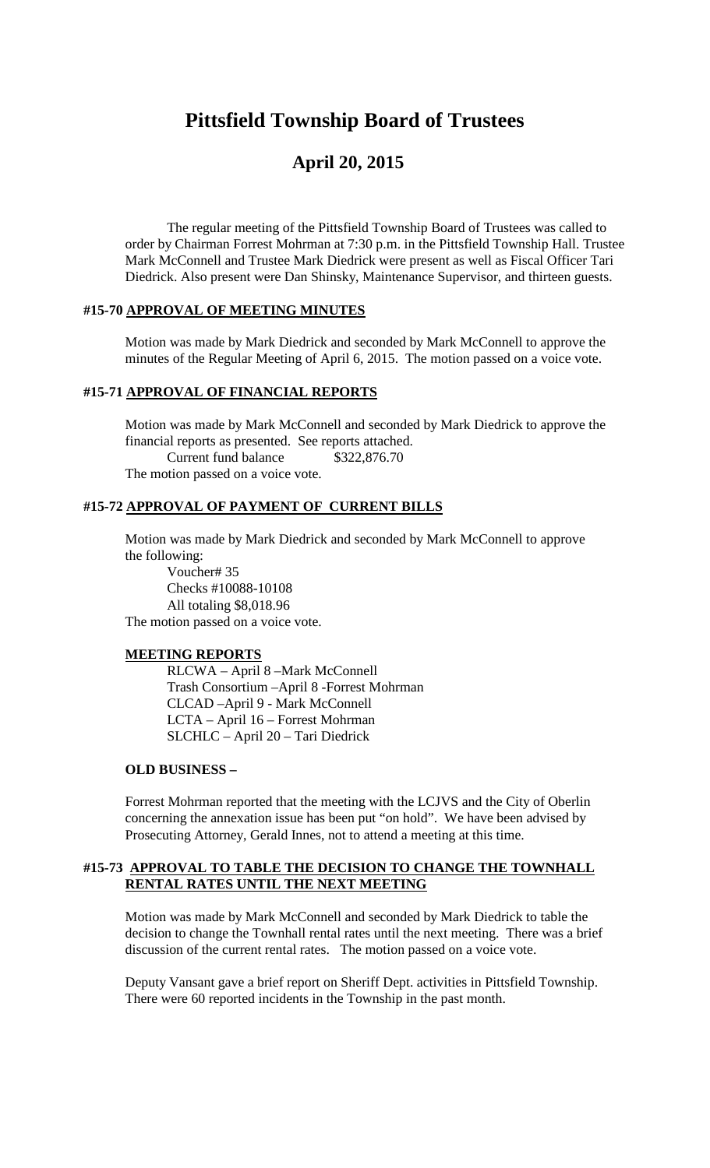# **Pittsfield Township Board of Trustees**

## **April 20, 2015**

The regular meeting of the Pittsfield Township Board of Trustees was called to order by Chairman Forrest Mohrman at 7:30 p.m. in the Pittsfield Township Hall. Trustee Mark McConnell and Trustee Mark Diedrick were present as well as Fiscal Officer Tari Diedrick. Also present were Dan Shinsky, Maintenance Supervisor, and thirteen guests.

#### **#15-70 APPROVAL OF MEETING MINUTES**

Motion was made by Mark Diedrick and seconded by Mark McConnell to approve the minutes of the Regular Meeting of April 6, 2015. The motion passed on a voice vote.

#### **#15-71 APPROVAL OF FINANCIAL REPORTS**

Motion was made by Mark McConnell and seconded by Mark Diedrick to approve the financial reports as presented. See reports attached. Current fund balance \$322,876.70 The motion passed on a voice vote.

#### **#15-72 APPROVAL OF PAYMENT OF CURRENT BILLS**

Motion was made by Mark Diedrick and seconded by Mark McConnell to approve the following: Voucher# 35

Checks #10088-10108 All totaling \$8,018.96 The motion passed on a voice vote.

#### **MEETING REPORTS**

RLCWA – April 8 –Mark McConnell Trash Consortium –April 8 -Forrest Mohrman CLCAD –April 9 - Mark McConnell LCTA – April 16 – Forrest Mohrman SLCHLC – April 20 – Tari Diedrick

#### **OLD BUSINESS –**

Forrest Mohrman reported that the meeting with the LCJVS and the City of Oberlin concerning the annexation issue has been put "on hold". We have been advised by Prosecuting Attorney, Gerald Innes, not to attend a meeting at this time.

#### **#15-73 APPROVAL TO TABLE THE DECISION TO CHANGE THE TOWNHALL RENTAL RATES UNTIL THE NEXT MEETING**

Motion was made by Mark McConnell and seconded by Mark Diedrick to table the decision to change the Townhall rental rates until the next meeting. There was a brief discussion of the current rental rates. The motion passed on a voice vote.

Deputy Vansant gave a brief report on Sheriff Dept. activities in Pittsfield Township. There were 60 reported incidents in the Township in the past month.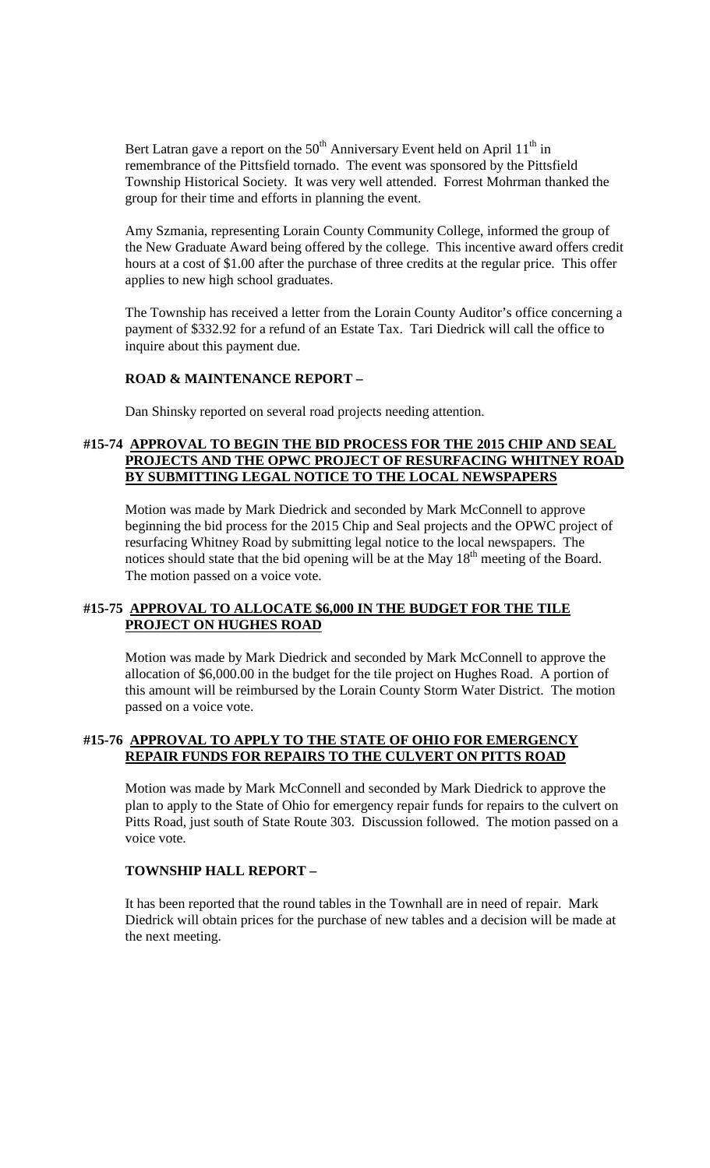Bert Latran gave a report on the  $50<sup>th</sup>$  Anniversary Event held on April 11<sup>th</sup> in remembrance of the Pittsfield tornado. The event was sponsored by the Pittsfield Township Historical Society. It was very well attended. Forrest Mohrman thanked the group for their time and efforts in planning the event.

Amy Szmania, representing Lorain County Community College, informed the group of the New Graduate Award being offered by the college. This incentive award offers credit hours at a cost of \$1.00 after the purchase of three credits at the regular price. This offer applies to new high school graduates.

The Township has received a letter from the Lorain County Auditor's office concerning a payment of \$332.92 for a refund of an Estate Tax. Tari Diedrick will call the office to inquire about this payment due.

#### **ROAD & MAINTENANCE REPORT –**

Dan Shinsky reported on several road projects needing attention.

#### **#15-74 APPROVAL TO BEGIN THE BID PROCESS FOR THE 2015 CHIP AND SEAL PROJECTS AND THE OPWC PROJECT OF RESURFACING WHITNEY ROAD BY SUBMITTING LEGAL NOTICE TO THE LOCAL NEWSPAPERS**

Motion was made by Mark Diedrick and seconded by Mark McConnell to approve beginning the bid process for the 2015 Chip and Seal projects and the OPWC project of resurfacing Whitney Road by submitting legal notice to the local newspapers. The notices should state that the bid opening will be at the May  $18<sup>th</sup>$  meeting of the Board. The motion passed on a voice vote.

#### **#15-75 APPROVAL TO ALLOCATE \$6,000 IN THE BUDGET FOR THE TILE PROJECT ON HUGHES ROAD**

Motion was made by Mark Diedrick and seconded by Mark McConnell to approve the allocation of \$6,000.00 in the budget for the tile project on Hughes Road. A portion of this amount will be reimbursed by the Lorain County Storm Water District. The motion passed on a voice vote.

#### **#15-76 APPROVAL TO APPLY TO THE STATE OF OHIO FOR EMERGENCY REPAIR FUNDS FOR REPAIRS TO THE CULVERT ON PITTS ROAD**

Motion was made by Mark McConnell and seconded by Mark Diedrick to approve the plan to apply to the State of Ohio for emergency repair funds for repairs to the culvert on Pitts Road, just south of State Route 303. Discussion followed. The motion passed on a voice vote.

#### **TOWNSHIP HALL REPORT –**

It has been reported that the round tables in the Townhall are in need of repair. Mark Diedrick will obtain prices for the purchase of new tables and a decision will be made at the next meeting.